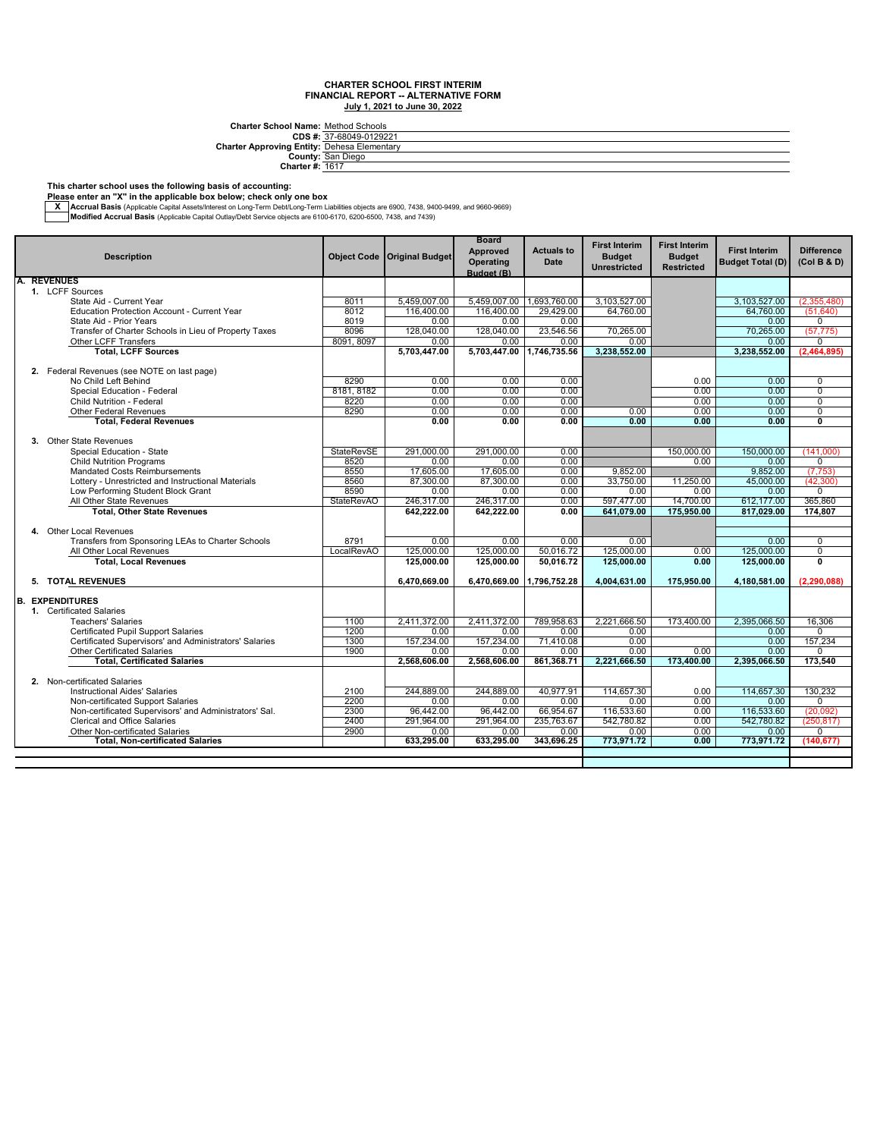**CDS #: Charter Approving Entity: Charter School Name:** Method Schools<br>
27-68049-0129221<br> **Prices Elementary**<br> **County:** San Diego<br>
Charter #: <u>1617</u>

#### **This charter school uses the following basis of accounting:**

**Please enter an "X" in the applicable box below; check only one box**

— Accrual Basis (Applicable Capital Assets/Interest on Long-Term Debt/Long-Term Liabilities objects are 6900, 7438, 9400-9499, and 9660-9669, Architect State Internal Basis (Applicable Capital Outlay/Debt Service object

|    |                                                        |                    |                        | <b>Board</b><br>Approved | <b>Actuals to</b> | <b>First Interim</b>                 | <b>First Interim</b>               | <b>First Interim</b>    | <b>Difference</b>       |
|----|--------------------------------------------------------|--------------------|------------------------|--------------------------|-------------------|--------------------------------------|------------------------------------|-------------------------|-------------------------|
|    | <b>Description</b>                                     | <b>Object Code</b> | <b>Original Budget</b> | Operating<br>Budget (B)  | <b>Date</b>       | <b>Budget</b><br><b>Unrestricted</b> | <b>Budget</b><br><b>Restricted</b> | <b>Budget Total (D)</b> | (Col B & D)             |
|    | <b>REVENUES</b>                                        |                    |                        |                          |                   |                                      |                                    |                         |                         |
|    | 1. LCFF Sources                                        |                    |                        |                          |                   |                                      |                                    |                         |                         |
|    | State Aid - Current Year                               | 8011               | 5,459,007.00           | 5,459,007.00             | 1,693,760.00      | 3,103,527.00                         |                                    | 3,103,527.00            | (2,355,480)             |
|    | Education Protection Account - Current Year            | 8012               | 116,400.00             | 116,400.00               | 29.429.00         | 64.760.00                            |                                    | 64.760.00               | (51.640)                |
|    | State Aid - Prior Years                                | 8019               | 0.00                   | 0.00                     | 0.00              |                                      |                                    | 0.00                    | $\mathbf 0$             |
|    | Transfer of Charter Schools in Lieu of Property Taxes  | 8096               | 128,040.00             | 128,040.00               | 23,546.56         | 70,265.00                            |                                    | 70,265.00               | (57, 775)               |
|    | Other LCFF Transfers                                   | 8091, 8097         | 0.00                   | 0.00                     | 0.00              | 0.00                                 |                                    | 0.00                    | 0                       |
|    | <b>Total, LCFF Sources</b>                             |                    | 5,703,447.00           | 5,703,447.00             | 1,746,735.56      | 3,238,552.00                         |                                    | 3,238,552.00            | (2,464,895)             |
|    | 2. Federal Revenues (see NOTE on last page)            |                    |                        |                          |                   |                                      |                                    |                         |                         |
|    | No Child Left Behind                                   | 8290               | 0.00                   | 0.00                     | 0.00              |                                      | 0.00                               | 0.00                    | $\mathbf 0$             |
|    | Special Education - Federal                            | 8181.8182          | 0.00                   | 0.00                     | 0.00              |                                      | 0.00                               | 0.00                    | $\overline{0}$          |
|    | Child Nutrition - Federal                              | 8220               | 0.00                   | 0.00                     | 0.00              |                                      | 0.00                               | 0.00                    | $\overline{0}$          |
|    | <b>Other Federal Revenues</b>                          | 8290               | 0.00                   | 0.00                     | 0.00              | 0.00                                 | 0.00                               | 0.00                    | $\overline{0}$          |
|    | <b>Total, Federal Revenues</b>                         |                    | 0.00                   | 0.00                     | 0.00              | 0.00                                 | 0.00                               | 0.00                    | $\overline{\mathbf{0}}$ |
|    |                                                        |                    |                        |                          |                   |                                      |                                    |                         |                         |
|    | 3. Other State Revenues                                |                    |                        |                          |                   |                                      |                                    |                         |                         |
|    | Special Education - State                              | <b>StateRevSE</b>  | 291,000.00             | 291,000.00               | 0.00              |                                      | 150,000.00                         | 150,000.00              | (141,000)               |
|    | <b>Child Nutrition Programs</b>                        | 8520               | 0.00                   | 0.00                     | 0.00              |                                      | 0.00                               | 0.00                    | 0                       |
|    | Mandated Costs Reimbursements                          | 8550               | 17,605.00              | 17,605.00                | 0.00              | 9.852.00                             |                                    | 9.852.00                | (7, 753)                |
|    | Lottery - Unrestricted and Instructional Materials     | 8560               | 87,300.00              | 87.300.00                | 0.00              | 33.750.00                            | 11.250.00                          | 45.000.00               | (42, 300)               |
|    | Low Performing Student Block Grant                     | 8590               | 0.00                   | 0.00                     | 0.00              | 0.00                                 | 0.00                               | 0.00                    | $\Omega$                |
|    | All Other State Revenues                               | <b>StateRevAO</b>  | 246,317.00             | 246,317.00               | 0.00              | 597,477.00                           | 14,700.00                          | 612.177.00              | 365,860                 |
|    | <b>Total, Other State Revenues</b>                     |                    | 642.222.00             | 642.222.00               | 0.00              | 641,079.00                           | 175,950.00                         | 817.029.00              | 174.807                 |
|    |                                                        |                    |                        |                          |                   |                                      |                                    |                         |                         |
|    | 4. Other Local Revenues                                |                    |                        |                          |                   |                                      |                                    |                         |                         |
|    | Transfers from Sponsoring LEAs to Charter Schools      | 8791               | 0.00                   | 0.00                     | 0.00              | 0.00                                 |                                    | 0.00                    | $\mathbf 0$             |
|    | All Other Local Revenues                               | LocalRevAO         | 125,000.00             | 125,000.00               | 50.016.72         | 125,000.00                           | 0.00                               | 125,000.00              | $\overline{0}$          |
|    | <b>Total, Local Revenues</b>                           |                    | 125,000.00             | 125,000.00               | 50.016.72         | 125,000.00                           | 0.00                               | 125.000.00              | $\overline{0}$          |
|    | 5. TOTAL REVENUES                                      |                    | 6,470,669.00           | 6,470,669.00             | 1.796.752.28      | 4,004,631.00                         | 175.950.00                         | 4,180,581.00            | (2.290.088)             |
|    | <b>EXPENDITURES</b>                                    |                    |                        |                          |                   |                                      |                                    |                         |                         |
| B. | 1. Certificated Salaries                               |                    |                        |                          |                   |                                      |                                    |                         |                         |
|    | <b>Teachers' Salaries</b>                              | 1100               | 2,411,372.00           | 2.411.372.00             | 789,958.63        | 2.221.666.50                         | 173.400.00                         | 2,395,066.50            | 16,306                  |
|    | Certificated Pupil Support Salaries                    | 1200               | 0.00                   | 0.00                     | 0.00              | 0.00                                 |                                    | 0.00                    | 0                       |
|    | Certificated Supervisors' and Administrators' Salaries | 1300               | 157,234.00             | 157,234.00               | 71,410.08         | 0.00                                 |                                    | 0.00                    | 157,234                 |
|    | <b>Other Certificated Salaries</b>                     | 1900               | 0.00                   | 0.00                     | 0.00              | 0.00                                 | 0.00                               | 0.00                    | $\Omega$                |
|    | <b>Total, Certificated Salaries</b>                    |                    | 2,568,606.00           | 2,568,606.00             | 861,368.71        | 2,221,666.50                         | 173,400.00                         | 2,395,066.50            | 173,540                 |
|    |                                                        |                    |                        |                          |                   |                                      |                                    |                         |                         |
|    | 2. Non-certificated Salaries                           |                    |                        |                          |                   |                                      |                                    |                         |                         |
|    | <b>Instructional Aides' Salaries</b>                   | 2100               | 244.889.00             | 244.889.00               | 40.977.91         | 114.657.30                           | 0.00                               | 114.657.30              | 130.232                 |
|    | Non-certificated Support Salaries                      | 2200               | 0.00                   | 0.00                     | 0.00              | 0.00                                 | 0.00                               | 0.00                    | $\Omega$                |
|    | Non-certificated Supervisors' and Administrators' Sal. | 2300               | 96.442.00              | 96.442.00                | 66,954.67         | 116,533.60                           | 0.00                               | 116.533.60              | (20.092)                |
|    | <b>Clerical and Office Salaries</b>                    | 2400               | 291,964.00             | 291,964.00               | 235,763.67        | 542,780.82                           | 0.00                               | 542,780.82              | (250, 817)              |
|    | Other Non-certificated Salaries                        | 2900               | 0.00                   | 0.00                     | 0.00              | 0.00                                 | 0.00                               | 0.00                    | 0                       |
|    | <b>Total, Non-certificated Salaries</b>                |                    | 633,295.00             | 633,295.00               | 343,696.25        | 773,971.72                           | 0.00                               | 773,971.72              | (140, 677)              |
|    |                                                        |                    |                        |                          |                   |                                      |                                    |                         |                         |
|    |                                                        |                    |                        |                          |                   |                                      |                                    |                         |                         |
|    |                                                        |                    |                        |                          |                   |                                      |                                    |                         |                         |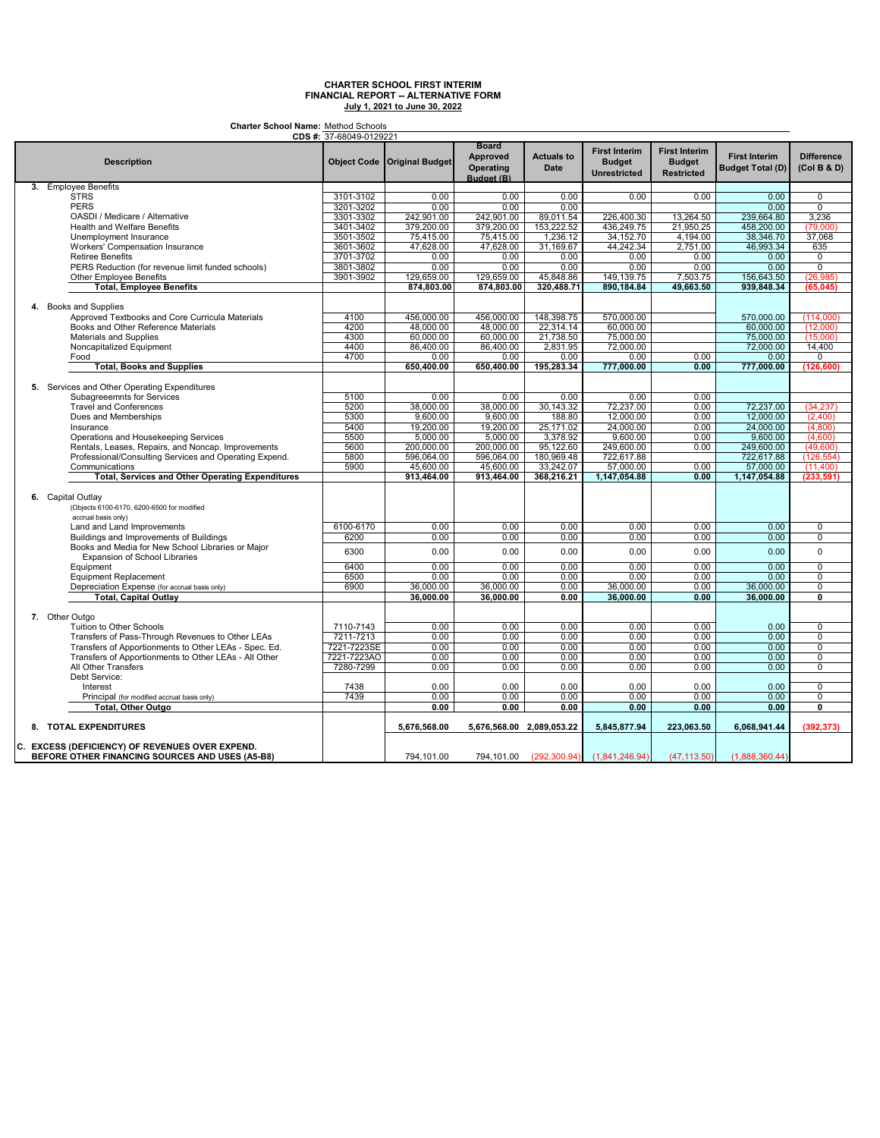**Charter School Name:** Method Schools

|                                                         | <b>CDS #:</b> 37-68049-0129221 |                               |                                                            |                                  |                                                              |                                                            |                                                 |                                  |
|---------------------------------------------------------|--------------------------------|-------------------------------|------------------------------------------------------------|----------------------------------|--------------------------------------------------------------|------------------------------------------------------------|-------------------------------------------------|----------------------------------|
| <b>Description</b>                                      |                                | Object Code   Original Budget | <b>Board</b><br><b>Approved</b><br>Operating<br>Budget (B) | <b>Actuals to</b><br><b>Date</b> | <b>First Interim</b><br><b>Budget</b><br><b>Unrestricted</b> | <b>First Interim</b><br><b>Budget</b><br><b>Restricted</b> | <b>First Interim</b><br><b>Budget Total (D)</b> | <b>Difference</b><br>(Col B & D) |
| 3. Employee Benefits                                    |                                |                               |                                                            |                                  |                                                              |                                                            |                                                 |                                  |
| <b>STRS</b>                                             | 3101-3102                      | 0.00                          | 0.00                                                       | 0.00                             | 0.00                                                         | 0.00                                                       | 0.00                                            | $\overline{0}$                   |
| <b>PERS</b>                                             | 3201-3202                      | 0.00                          | 0.00                                                       | 0.00                             |                                                              |                                                            | 0.00                                            | $\overline{0}$                   |
| OASDI / Medicare / Alternative                          | 3301-3302                      | 242,901.00                    | 242,901.00                                                 | 89,011.54                        | 226,400.30                                                   | 13,264.50                                                  | 239,664.80                                      | 3,236                            |
| Health and Welfare Benefits                             | 3401-3402                      | 379,200.00                    | 379,200.00                                                 | 153,222.52                       | 436,249.75                                                   | 21,950.25                                                  | 458,200.00                                      | (79,000)                         |
| Unemployment Insurance                                  | 3501-3502                      | 75,415.00                     | 75,415.00                                                  | 1,236.12                         | 34,152.70                                                    | 4,194.00                                                   | 38,346.70                                       | 37,068                           |
|                                                         |                                |                               |                                                            |                                  |                                                              |                                                            |                                                 |                                  |
| <b>Workers' Compensation Insurance</b>                  | 3601-3602                      | 47,628.00                     | 47,628.00                                                  | 31,169.67                        | 44,242.34                                                    | 2,751.00                                                   | 46,993.34                                       | 635                              |
| <b>Retiree Benefits</b>                                 | 3701-3702                      | 0.00                          | 0.00                                                       | 0.00                             | 0.00                                                         | 0.00                                                       | 0.00                                            | $\overline{0}$                   |
| PERS Reduction (for revenue limit funded schools)       | 3801-3802                      | 0.00                          | 0.00                                                       | 0.00                             | 0.00                                                         | 0.00                                                       | 0.00                                            | $\overline{0}$                   |
| Other Employee Benefits                                 | 3901-3902                      | 129,659.00                    | 129,659.00                                                 | 45,848.86                        | 149,139.75                                                   | 7,503.75                                                   | 156,643.50                                      | (26, 985)                        |
| <b>Total, Employee Benefits</b>                         |                                | 874,803.00                    | 874,803.00                                                 | 320,488.71                       | 890,184.84                                                   | 49,663.50                                                  | 939,848.34                                      | (65, 045)                        |
| 4. Books and Supplies                                   |                                |                               |                                                            |                                  |                                                              |                                                            |                                                 |                                  |
| Approved Textbooks and Core Curricula Materials         | 4100                           | 456,000.00                    | 456,000.00                                                 | 148,398.75                       | 570,000.00                                                   |                                                            | 570,000.00                                      | (114,000)                        |
| Books and Other Reference Materials                     | 4200                           | 48,000.00                     | 48,000.00                                                  | 22,314.14                        | 60,000.00                                                    |                                                            | 60,000.00                                       | (12,000)                         |
| Materials and Supplies                                  | 4300                           | 60,000.00                     | 60,000.00                                                  | 21,738.50                        | 75,000.00                                                    |                                                            | 75,000.00                                       | (15.000)                         |
| Noncapitalized Equipment                                | 4400                           | 86,400.00                     | 86,400.00                                                  | 2,831.95                         | 72,000.00                                                    |                                                            | 72,000.00                                       | 14,400                           |
| Food                                                    | 4700                           | 0.00                          | 0.00                                                       | 0.00                             | 0.00                                                         | 0.00                                                       | 0.00                                            | 0                                |
| <b>Total, Books and Supplies</b>                        |                                | 650.400.00                    | 650.400.00                                                 | 195,283.34                       | 777,000.00                                                   | 0.00                                                       | 777,000.00                                      | (126.600)                        |
|                                                         |                                |                               |                                                            |                                  |                                                              |                                                            |                                                 |                                  |
| 5. Services and Other Operating Expenditures            |                                |                               |                                                            |                                  |                                                              |                                                            |                                                 |                                  |
| Subagreeemnts for Services                              | 5100                           | 0.00                          | 0.00                                                       | 0.00                             | 0.00                                                         | 0.00                                                       |                                                 |                                  |
| <b>Travel and Conferences</b>                           | 5200                           | 38,000.00                     | 38,000.00                                                  | 30.143.32                        | 72,237.00                                                    | 0.00                                                       | 72.237.00                                       | (34, 237)                        |
| Dues and Memberships                                    | 5300                           | 9,600.00                      | 9,600.00                                                   | 188.80                           | 12,000.00                                                    | 0.00                                                       | 12,000.00                                       | (2,400)                          |
| Insurance                                               | 5400                           | 19,200.00                     | 19,200.00                                                  | 25.171.02                        | 24,000.00                                                    | 0.00                                                       | 24,000.00                                       | (4,800)                          |
| Operations and Housekeeping Services                    | 5500                           | 5,000.00                      | 5,000.00                                                   | 3,378.92                         | 9,600.00                                                     | 0.00                                                       | 9,600.00                                        | (4,600)                          |
| Rentals, Leases, Repairs, and Noncap. Improvements      | 5600                           | 200,000.00                    | 200,000.00                                                 | 95,122.60                        | 249,600.00                                                   | 0.00                                                       | 249,600.00                                      | (49,600)                         |
| Professional/Consulting Services and Operating Expend.  | 5800                           | 596,064.00                    | 596,064.00                                                 | 180,969.48                       | 722,617.88                                                   |                                                            | 722,617.88                                      | (126, 554)                       |
| Communications                                          | 5900                           | 45.600.00                     |                                                            | 33.242.07                        | 57.000.00                                                    | 0.00                                                       |                                                 |                                  |
|                                                         |                                |                               | 45.600.00                                                  |                                  |                                                              |                                                            | 57,000.00                                       | (11.400)                         |
| <b>Total, Services and Other Operating Expenditures</b> |                                | 913,464.00                    | 913,464.00                                                 | 368,216.21                       | 1,147,054.88                                                 | 0.00                                                       | 1,147,054.88                                    | (233, 591)                       |
|                                                         |                                |                               |                                                            |                                  |                                                              |                                                            |                                                 |                                  |
| 6. Capital Outlay                                       |                                |                               |                                                            |                                  |                                                              |                                                            |                                                 |                                  |
| (Objects 6100-6170, 6200-6500 for modified              |                                |                               |                                                            |                                  |                                                              |                                                            |                                                 |                                  |
| accrual basis only)                                     |                                |                               |                                                            |                                  |                                                              |                                                            |                                                 |                                  |
| Land and Land Improvements                              | 6100-6170                      | 0.00                          | 0.00                                                       | 0.00                             | 0.00                                                         | 0.00                                                       | 0.00                                            | 0                                |
| Buildings and Improvements of Buildings                 | 6200                           | 0.00                          | 0.00                                                       | 0.00                             | 0.00                                                         | 0.00                                                       | 0.00                                            | 0                                |
| Books and Media for New School Libraries or Major       | 6300                           | 0.00                          |                                                            | 0.00                             | 0.00                                                         |                                                            | 0.00                                            | 0                                |
| <b>Expansion of School Libraries</b>                    |                                |                               | 0.00                                                       |                                  |                                                              | 0.00                                                       |                                                 |                                  |
| Equipment                                               | 6400                           | 0.00                          | 0.00                                                       | 0.00                             | 0.00                                                         | 0.00                                                       | 0.00                                            | $\overline{0}$                   |
| <b>Equipment Replacement</b>                            | 6500                           | 0.00                          | 0.00                                                       | 0.00                             | 0.00                                                         | 0.00                                                       | 0.00                                            | $\overline{0}$                   |
| Depreciation Expense (for accrual basis only)           | 6900                           | 36,000.00                     | 36,000.00                                                  | 0.00                             | 36,000.00                                                    | 0.00                                                       | 36,000.00                                       | $\overline{0}$                   |
| <b>Total, Capital Outlay</b>                            |                                | 36,000.00                     | 36,000.00                                                  | 0.00                             | 36,000.00                                                    | 0.00                                                       | 36,000.00                                       | $\overline{\mathfrak{o}}$        |
|                                                         |                                |                               |                                                            |                                  |                                                              |                                                            |                                                 |                                  |
| 7. Other Outgo                                          |                                |                               |                                                            |                                  |                                                              |                                                            |                                                 |                                  |
| Tuition to Other Schools                                |                                | 0.00                          | 0.00                                                       | 0.00                             | 0.00                                                         | 0.00                                                       | 0.00                                            | 0                                |
|                                                         | 7110-7143                      |                               |                                                            |                                  |                                                              |                                                            |                                                 |                                  |
| Transfers of Pass-Through Revenues to Other LEAs        | 7211-7213                      | 0.00                          | 0.00                                                       | 0.00                             | 0.00                                                         | 0.00                                                       | 0.00                                            | $\overline{0}$                   |
| Transfers of Apportionments to Other LEAs - Spec. Ed.   | 7221-7223SE                    | 0.00                          | 0.00                                                       | 0.00                             | 0.00                                                         | 0.00                                                       | 0.00                                            | 0                                |
| Transfers of Apportionments to Other LEAs - All Other   | 7221-7223AO                    | 0.00                          | 0.00                                                       | 0.00                             | 0.00                                                         | 0.00                                                       | 0.00                                            | 0                                |
| All Other Transfers                                     | 7280-7299                      | 0.00                          | 0.00                                                       | 0.00                             | 0.00                                                         | 0.00                                                       | 0.00                                            | $\overline{0}$                   |
| Debt Service:                                           |                                |                               |                                                            |                                  |                                                              |                                                            |                                                 |                                  |
| Interest                                                | 7438                           | 0.00                          | 0.00                                                       | 0.00                             | 0.00                                                         | 0.00                                                       | 0.00                                            | 0                                |
| Principal (for modified accrual basis only)             | 7439                           | 0.00                          | 0.00                                                       | 0.00                             | 0.00                                                         | 0.00                                                       | 0.00                                            | 0                                |
| <b>Total, Other Outgo</b>                               |                                | 0.00                          | 0.00                                                       | 0.00                             | 0.00                                                         | 0.00                                                       | 0.00                                            | 0                                |
|                                                         |                                |                               |                                                            |                                  |                                                              |                                                            |                                                 |                                  |
| 8. TOTAL EXPENDITURES                                   |                                | 5.676.568.00                  | 5,676,568.00 2,089,053.22                                  |                                  | 5,845,877.94                                                 | 223,063.50                                                 | 6,068,941.44                                    | (392.373)                        |
| C. EXCESS (DEFICIENCY) OF REVENUES OVER EXPEND.         |                                |                               |                                                            |                                  |                                                              |                                                            |                                                 |                                  |
| BEFORE OTHER FINANCING SOURCES AND USES (A5-B8)         |                                | 794,101.00                    | 794,101.00                                                 | (292.300.94)                     | (1,841,246.94)                                               | (47, 113.50)                                               | (1,888,360.44)                                  |                                  |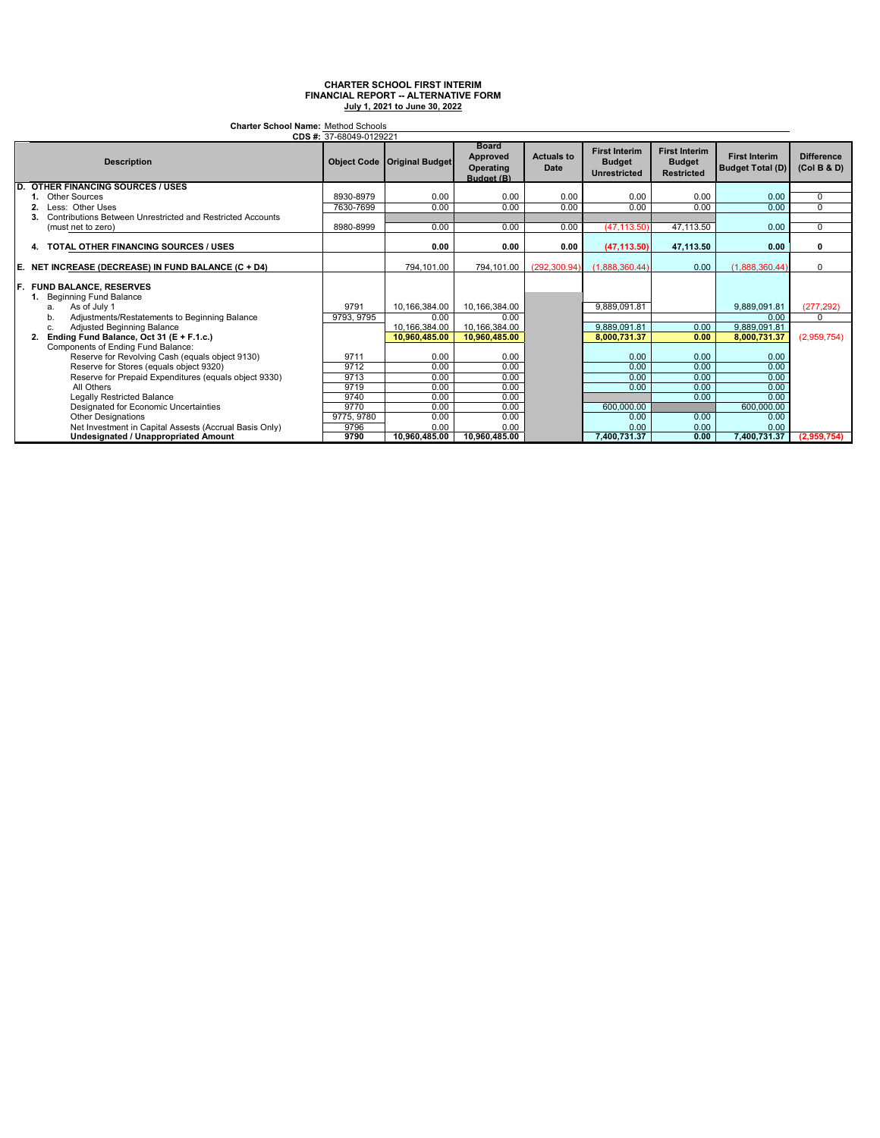| <b>Charter School Name: Method Schools</b><br>CDS #: 37-68049-0129221                      |            |                                      |                                                     |                                  |                                                              |                                                            |                                                 |                                  |
|--------------------------------------------------------------------------------------------|------------|--------------------------------------|-----------------------------------------------------|----------------------------------|--------------------------------------------------------------|------------------------------------------------------------|-------------------------------------------------|----------------------------------|
| <b>Description</b>                                                                         |            | <b>Object Code   Original Budget</b> | <b>Board</b><br>Approved<br>Operating<br>Budget (B) | <b>Actuals to</b><br><b>Date</b> | <b>First Interim</b><br><b>Budget</b><br><b>Unrestricted</b> | <b>First Interim</b><br><b>Budget</b><br><b>Restricted</b> | <b>First Interim</b><br><b>Budget Total (D)</b> | <b>Difference</b><br>(Col B & D) |
| D.<br><b>OTHER FINANCING SOURCES / USES</b>                                                |            |                                      |                                                     |                                  |                                                              |                                                            |                                                 |                                  |
| <b>Other Sources</b>                                                                       | 8930-8979  | 0.00                                 | 0.00                                                | 0.00                             | 0.00                                                         | 0.00                                                       | 0.00                                            | 0                                |
| Less: Other Uses                                                                           | 7630-7699  | 0.00                                 | 0.00                                                | 0.00                             | 0.00                                                         | 0.00                                                       | 0.00                                            | $\Omega$                         |
| Contributions Between Unrestricted and Restricted Accounts                                 |            |                                      |                                                     |                                  |                                                              |                                                            |                                                 |                                  |
| (must net to zero)                                                                         | 8980-8999  | 0.00                                 | 0.00                                                | 0.00                             | (47, 113.50)                                                 | 47,113.50                                                  | 0.00                                            | 0                                |
| 4. TOTAL OTHER FINANCING SOURCES / USES                                                    |            | 0.00                                 | 0.00                                                | 0.00                             | (47, 113.50)                                                 | 47,113.50                                                  | 0.00                                            | 0                                |
| E.<br>NET INCREASE (DECREASE) IN FUND BALANCE (C + D4)                                     |            | 794.101.00                           | 794.101.00                                          | (292.300.94)                     | (1.888.360.44)                                               | 0.00                                                       | (1.888.360.44)                                  | $\Omega$                         |
| F.<br><b>FUND BALANCE, RESERVES</b><br><b>Beginning Fund Balance</b><br>As of July 1<br>a. | 9791       | 10.166.384.00                        | 10.166.384.00                                       |                                  | 9.889.091.81                                                 |                                                            | 9.889.091.81                                    | (277.292)                        |
| Adjustments/Restatements to Beginning Balance<br>b.                                        | 9793, 9795 | 0.00                                 | 0.00                                                |                                  |                                                              |                                                            | 0.00                                            | $\Omega$                         |
| Adjusted Beginning Balance<br>c.                                                           |            | 10,166,384.00                        | 10,166,384.00                                       |                                  | 9.889.091.81                                                 | 0.00                                                       | 9,889,091.81                                    |                                  |
| Ending Fund Balance, Oct 31 (E + F.1.c.)<br>2.                                             |            | 10,960,485.00                        | 10.960.485.00                                       |                                  | 8.000.731.37                                                 | 0.00                                                       | 8.000.731.37                                    | (2,959,754)                      |
| Components of Ending Fund Balance:                                                         |            |                                      |                                                     |                                  |                                                              |                                                            |                                                 |                                  |
| Reserve for Revolving Cash (equals object 9130)                                            | 9711       | 0.00                                 | 0.00                                                |                                  | 0.00                                                         | 0.00                                                       | 0.00                                            |                                  |
| Reserve for Stores (equals object 9320)                                                    | 9712       | 0.00                                 | 0.00                                                |                                  | 0.00                                                         | 0.00                                                       | 0.00                                            |                                  |
| Reserve for Prepaid Expenditures (equals object 9330)                                      | 9713       | 0.00                                 | 0.00                                                |                                  | 0.00                                                         | 0.00                                                       | 0.00                                            |                                  |
| All Others                                                                                 | 9719       | 0.00                                 | 0.00                                                |                                  | 0.00                                                         | 0.00                                                       | 0.00                                            |                                  |
| Legally Restricted Balance                                                                 | 9740       | 0.00                                 | 0.00                                                |                                  |                                                              | 0.00                                                       | 0.00                                            |                                  |
| Designated for Economic Uncertainties                                                      | 9770       | 0.00                                 | 0.00                                                |                                  | 600.000.00                                                   |                                                            | 600,000.00                                      |                                  |
| <b>Other Designations</b>                                                                  | 9775, 9780 | 0.00                                 | 0.00                                                |                                  | 0.00                                                         | 0.00                                                       | 0.00                                            |                                  |
| Net Investment in Capital Assests (Accrual Basis Only)                                     | 9796       | 0.00                                 | 0.00                                                |                                  | 0.00                                                         | 0.00                                                       | 0.00                                            |                                  |
| Undesignated / Unappropriated Amount                                                       | 9790       | 10.960.485.00                        | 10.960.485.00                                       |                                  | 7.400.731.37                                                 | 0.00                                                       | 7.400.731.37                                    | (2.959.754)                      |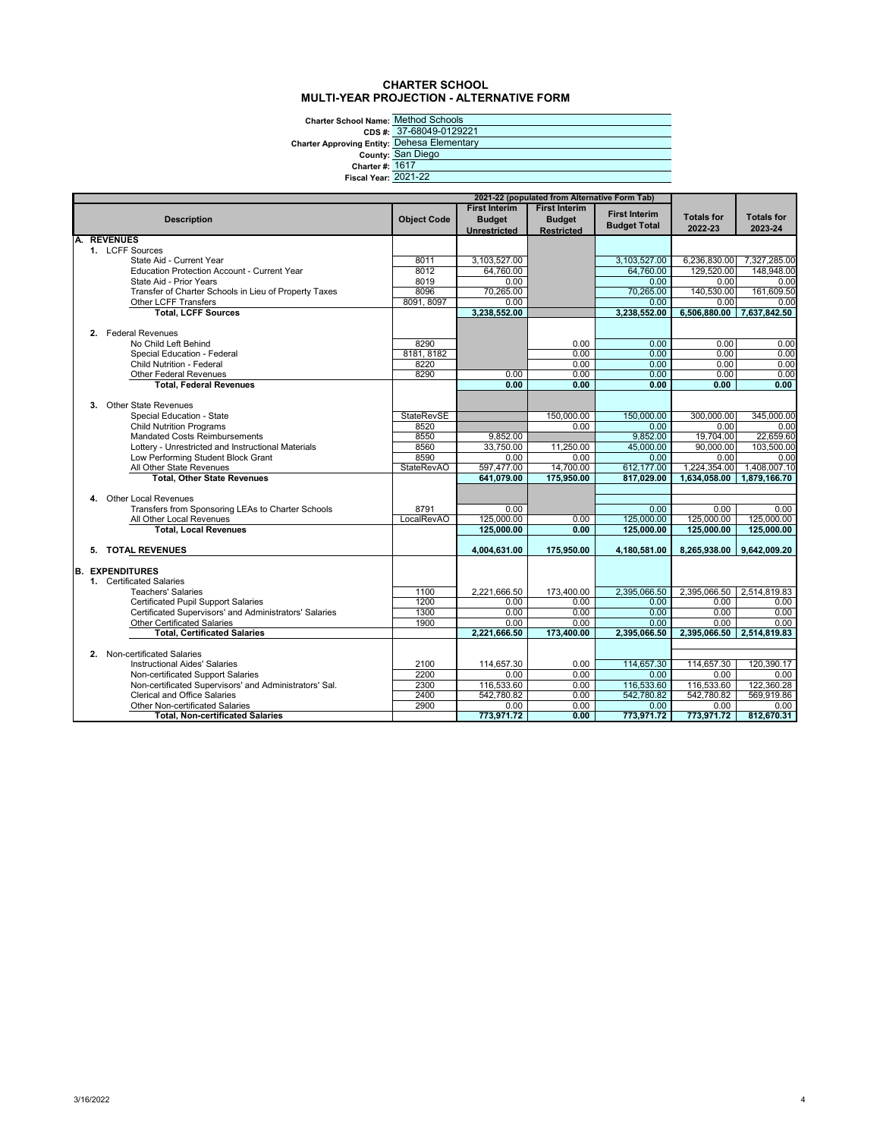#### **CHARTER SCHOOL MULTI-YEAR PROJECTION - ALTERNATIVE FORM**

**Charter School Name:** Method Schools

**CDS #:**

**Charter Approving Entity: County:**

|                             | CDS #: 37-68049-0129221        |
|-----------------------------|--------------------------------|
|                             | wing Entity: Dehesa Elementary |
|                             | County: San Diego              |
| <b>Charter #: 1617</b>      |                                |
| <b>Fiscal Year: 2021-22</b> |                                |
|                             |                                |

|    | 2021-22 (populated from Alternative Form Tab)          |                    |                      |                      |                      |                      |                      |
|----|--------------------------------------------------------|--------------------|----------------------|----------------------|----------------------|----------------------|----------------------|
|    |                                                        |                    | <b>First Interim</b> | <b>First Interim</b> |                      |                      |                      |
|    | <b>Description</b>                                     | <b>Object Code</b> | <b>Budget</b>        | <b>Budget</b>        | <b>First Interim</b> | <b>Totals for</b>    | <b>Totals for</b>    |
|    |                                                        |                    | <b>Unrestricted</b>  | <b>Restricted</b>    | <b>Budget Total</b>  | 2022-23              | 2023-24              |
| А. | <b>REVENUES</b>                                        |                    |                      |                      |                      |                      |                      |
|    | 1. LCFF Sources                                        |                    |                      |                      |                      |                      |                      |
|    | State Aid - Current Year                               | 8011               | 3,103,527.00         |                      | 3,103,527.00         | 6,236,830.00         | 7,327,285.00         |
|    | Education Protection Account - Current Year            | 8012               | 64,760.00            |                      | 64.760.00            | 129,520.00           | 148.948.00           |
|    | State Aid - Prior Years                                | 8019               | 0.00                 |                      | 0.00                 | 0.00                 | 0.00                 |
|    | Transfer of Charter Schools in Lieu of Property Taxes  | 8096               | 70,265.00            |                      | 70,265.00            | 140,530.00           | 161,609.50           |
|    | Other LCFF Transfers<br><b>Total, LCFF Sources</b>     | 8091, 8097         | 0.00<br>3,238,552.00 |                      | 0.00<br>3,238,552.00 | 0.00<br>6,506,880.00 | 0.00<br>7,637,842.50 |
|    |                                                        |                    |                      |                      |                      |                      |                      |
|    | 2. Federal Revenues                                    |                    |                      |                      |                      |                      |                      |
|    | No Child Left Behind                                   | 8290               |                      | 0.00                 | 0.00                 | 0.00                 | 0.00                 |
|    | Special Education - Federal                            | 8181, 8182         |                      | 0.00                 | 0.00                 | 0.00                 | 0.00                 |
|    | <b>Child Nutrition - Federal</b>                       | 8220               |                      | 0.00                 | 0.00                 | 0.00                 | 0.00                 |
|    | <b>Other Federal Revenues</b>                          | 8290               | 0.00                 | 0.00                 | 0.00                 | 0.00                 | 0.00                 |
|    | <b>Total, Federal Revenues</b>                         |                    | 0.00                 | 0.00                 | 0.00                 | 0.00                 | 0.00                 |
|    |                                                        |                    |                      |                      |                      |                      |                      |
|    | <b>Other State Revenues</b><br>3.                      |                    |                      |                      |                      |                      |                      |
|    | Special Education - State                              | StateRevSE         |                      | 150,000.00           | 150,000.00           | 300,000.00           | 345,000.00           |
|    | <b>Child Nutrition Programs</b>                        | 8520               |                      | 0.00                 | 0.00                 | 0.00                 | 0.00                 |
|    | <b>Mandated Costs Reimbursements</b>                   | 8550               | 9,852.00             |                      | 9,852.00             | 19,704.00            | 22,659.60            |
|    | Lottery - Unrestricted and Instructional Materials     | 8560               | 33,750.00            | 11,250.00            | 45.000.00            | 90.000.00            | 103.500.00           |
|    | Low Performing Student Block Grant                     | 8590               | 0.00                 | 0.00                 | 0.00                 | 0.00                 | 0.00                 |
|    | All Other State Revenues                               | <b>StateRevAO</b>  | 597,477.00           | 14,700.00            | 612,177.00           | 1,224,354.00         | 1,408,007.10         |
|    | <b>Total, Other State Revenues</b>                     |                    | 641,079.00           | 175,950.00           | 817,029.00           | 1,634,058.00         | 1,879,166.70         |
|    |                                                        |                    |                      |                      |                      |                      |                      |
|    | 4. Other Local Revenues                                |                    |                      |                      |                      |                      |                      |
|    | Transfers from Sponsoring LEAs to Charter Schools      | 8791               | 0.00                 |                      | 0.00                 | 0.00                 | 0.00                 |
|    | All Other Local Revenues                               | LocalRevAO         | 125,000.00           | 0.00                 | 125,000.00           | 125,000.00           | 125,000.00           |
|    | <b>Total, Local Revenues</b>                           |                    | 125,000.00           | 0.00                 | 125,000.00           | 125,000.00           | 125,000.00           |
|    |                                                        |                    |                      |                      |                      |                      |                      |
|    | 5. TOTAL REVENUES                                      |                    | 4,004,631.00         | 175,950.00           | 4,180,581.00         | 8,265,938.00         | 9,642,009.20         |
|    | <b>B. EXPENDITURES</b>                                 |                    |                      |                      |                      |                      |                      |
|    | 1. Certificated Salaries                               |                    |                      |                      |                      |                      |                      |
|    | <b>Teachers' Salaries</b>                              | 1100               | 2,221,666.50         | 173,400.00           | 2.395.066.50         | 2,395,066.50         | 2,514,819.83         |
|    | <b>Certificated Pupil Support Salaries</b>             | 1200               | 0.00                 | 0.00                 | 0.00                 | 0.00                 | 0.00                 |
|    | Certificated Supervisors' and Administrators' Salaries | 1300               | 0.00                 | 0.00                 | 0.00                 | 0.00                 | 0.00                 |
|    | <b>Other Certificated Salaries</b>                     | 1900               | 0.00                 | 0.00                 | 0.00                 | 0.00                 | 0.00                 |
|    | <b>Total. Certificated Salaries</b>                    |                    | 2.221.666.50         | 173,400.00           | 2.395.066.50         | 2.395.066.50         | 2.514.819.83         |
|    |                                                        |                    |                      |                      |                      |                      |                      |
|    | 2. Non-certificated Salaries                           |                    |                      |                      |                      |                      |                      |
|    | <b>Instructional Aides' Salaries</b>                   | 2100               | 114,657.30           | 0.00                 | 114,657.30           | 114,657.30           | 120.390.17           |
|    | Non-certificated Support Salaries                      | 2200               | 0.00                 | 0.00                 | 0.00                 | 0.00                 | 0.00                 |
|    | Non-certificated Supervisors' and Administrators' Sal. | 2300               | 116,533.60           | 0.00                 | 116,533.60           | 116,533.60           | 122,360.28           |
|    | <b>Clerical and Office Salaries</b>                    | 2400               | 542,780.82           | 0.00                 | 542,780.82           | 542,780.82           | 569,919.86           |
|    | Other Non-certificated Salaries                        | 2900               | 0.00                 | 0.00                 | 0.00                 | 0.00                 | 0.00                 |
|    | <b>Total. Non-certificated Salaries</b>                |                    | 773,971.72           | 0.00                 | 773,971.72           | 773,971.72           | 812.670.31           |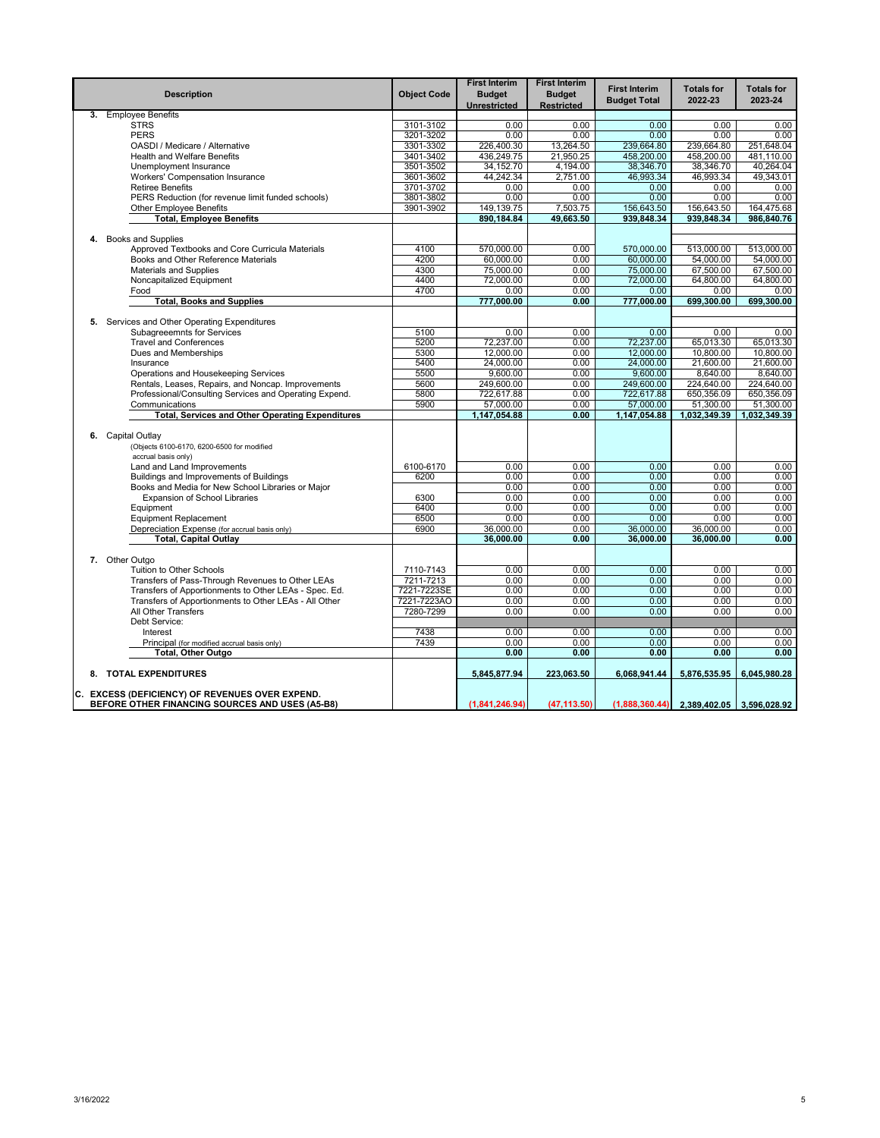|    | <b>Description</b>                                                                                 | <b>Object Code</b> | <b>First Interim</b><br><b>Budget</b><br>Unrestricted | <b>First Interim</b><br><b>Budget</b><br><b>Restricted</b> | <b>First Interim</b><br><b>Budget Total</b> | <b>Totals for</b><br>2022-23 | <b>Totals for</b><br>2023-24 |
|----|----------------------------------------------------------------------------------------------------|--------------------|-------------------------------------------------------|------------------------------------------------------------|---------------------------------------------|------------------------------|------------------------------|
| 3. | <b>Employee Benefits</b>                                                                           |                    |                                                       |                                                            |                                             |                              |                              |
|    | <b>STRS</b>                                                                                        | 3101-3102          | 0.00                                                  | 0.00                                                       | 0.00                                        | 0.00                         | 0.00                         |
|    | <b>PERS</b>                                                                                        | 3201-3202          | 0.00                                                  | 0.00                                                       | 0.00                                        | 0.00                         | 0.00                         |
|    | OASDI / Medicare / Alternative                                                                     | 3301-3302          | 226,400.30                                            | 13,264.50                                                  | 239,664.80                                  | 239,664.80                   | 251.648.04                   |
|    | Health and Welfare Benefits                                                                        | 3401-3402          | 436,249.75                                            | 21,950.25                                                  | 458.200.00                                  | 458,200.00                   | 481.110.00                   |
|    | Unemployment Insurance                                                                             | 3501-3502          | 34,152.70                                             | 4,194.00                                                   | 38,346.70                                   | 38,346.70                    | 40,264.04                    |
|    | Workers' Compensation Insurance                                                                    | 3601-3602          | 44,242.34                                             | 2,751.00                                                   | 46,993.34                                   | 46,993.34                    | 49,343.01                    |
|    | <b>Retiree Benefits</b>                                                                            | 3701-3702          | 0.00                                                  | 0.00                                                       | 0.00                                        | 0.00                         | 0.00                         |
|    | PERS Reduction (for revenue limit funded schools)                                                  | 3801-3802          | 0.00                                                  | 0.00                                                       | 0.00                                        | 0.00                         | 0.00                         |
|    | Other Employee Benefits                                                                            | 3901-3902          | 149,139.75                                            | 7,503.75                                                   | 156,643.50                                  | 156,643.50                   | 164,475.68                   |
|    | <b>Total, Employee Benefits</b>                                                                    |                    | 890.184.84                                            | 49,663.50                                                  | 939,848.34                                  | 939,848.34                   | 986,840.76                   |
|    | 4. Books and Supplies                                                                              |                    |                                                       |                                                            |                                             |                              |                              |
|    | Approved Textbooks and Core Curricula Materials                                                    | 4100               | 570,000.00                                            | 0.00                                                       | 570.000.00                                  | 513.000.00                   | 513,000.00                   |
|    | Books and Other Reference Materials                                                                | 4200               | 60,000,00                                             | 0.00                                                       | 60.000.00                                   | 54,000.00                    | 54.000.00                    |
|    | <b>Materials and Supplies</b>                                                                      | 4300               | 75,000.00                                             | 0.00                                                       | 75,000.00                                   | 67,500.00                    | 67,500.00                    |
|    |                                                                                                    | 4400               | 72,000.00                                             | 0.00                                                       | 72,000.00                                   | 64,800.00                    | 64,800.00                    |
|    | Noncapitalized Equipment                                                                           | 4700               | 0.00                                                  | 0.00                                                       | 0.00                                        | 0.00                         | 0.00                         |
|    | Food                                                                                               |                    | 777,000.00                                            | 0.00                                                       | 777,000.00                                  | 699,300.00                   | 699,300.00                   |
|    | <b>Total, Books and Supplies</b>                                                                   |                    |                                                       |                                                            |                                             |                              |                              |
|    | 5. Services and Other Operating Expenditures                                                       |                    |                                                       |                                                            |                                             |                              |                              |
|    | <b>Subagreeemnts for Services</b>                                                                  | 5100               | 0.00                                                  | 0.00                                                       | 0.00                                        | 0.00                         | 0.00                         |
|    | <b>Travel and Conferences</b>                                                                      | 5200               | 72,237.00                                             | 0.00                                                       | 72,237.00                                   | 65,013.30                    | 65,013.30                    |
|    | Dues and Memberships                                                                               | 5300               | 12,000.00                                             | 0.00                                                       | 12,000.00                                   | 10,800.00                    | 10,800.00                    |
|    | Insurance                                                                                          | 5400               | 24.000.00                                             | 0.00                                                       | 24,000.00                                   | 21,600.00                    | 21.600.00                    |
|    | Operations and Housekeeping Services                                                               | 5500               | 9,600.00                                              | 0.00                                                       | 9,600.00                                    | 8,640.00                     | 8,640.00                     |
|    | Rentals, Leases, Repairs, and Noncap. Improvements                                                 | 5600               | 249,600.00                                            | 0.00                                                       | 249,600.00                                  | 224,640.00                   | 224,640.00                   |
|    | Professional/Consulting Services and Operating Expend.                                             | 5800               | 722,617.88                                            | 0.00                                                       | 722,617.88                                  | 650,356.09                   | 650,356.09                   |
|    | Communications                                                                                     | 5900               | 57,000.00                                             | 0.00                                                       | 57,000.00                                   | 51,300.00                    | 51,300.00                    |
|    | <b>Total, Services and Other Operating Expenditures</b>                                            |                    | 1,147,054.88                                          | 0.00                                                       | 1,147,054.88                                | 1,032,349.39                 | 1,032,349.39                 |
|    |                                                                                                    |                    |                                                       |                                                            |                                             |                              |                              |
|    | 6. Capital Outlay                                                                                  |                    |                                                       |                                                            |                                             |                              |                              |
|    | (Objects 6100-6170, 6200-6500 for modified                                                         |                    |                                                       |                                                            |                                             |                              |                              |
|    | accrual basis only)                                                                                |                    |                                                       |                                                            |                                             |                              |                              |
|    | Land and Land Improvements                                                                         | 6100-6170          | 0.00                                                  | 0.00                                                       | 0.00                                        | 0.00                         | 0.00                         |
|    | Buildings and Improvements of Buildings                                                            | 6200               | 0.00                                                  | 0.00                                                       | 0.00                                        | 0.00                         | 0.00                         |
|    | Books and Media for New School Libraries or Major                                                  |                    | 0.00                                                  | 0.00                                                       | 0.00                                        | 0.00                         | 0.00                         |
|    | <b>Expansion of School Libraries</b>                                                               | 6300               | 0.00                                                  | 0.00                                                       | 0.00                                        | 0.00                         | 0.00                         |
|    | Equipment                                                                                          | 6400               | 0.00                                                  | 0.00                                                       | 0.00                                        | 0.00                         | 0.00                         |
|    | <b>Equipment Replacement</b>                                                                       | 6500               | 0.00                                                  | 0.00                                                       | 0.00                                        | 0.00                         | 0.00                         |
|    | Depreciation Expense (for accrual basis only)                                                      | 6900               | 36.000.00                                             | 0.00                                                       | 36,000.00                                   | 36,000.00                    | 0.00                         |
|    | <b>Total, Capital Outlay</b>                                                                       |                    | 36.000.00                                             | 0.00                                                       | 36.000.00                                   | 36.000.00                    | 0.00                         |
|    |                                                                                                    |                    |                                                       |                                                            |                                             |                              |                              |
|    | 7. Other Outgo                                                                                     |                    |                                                       |                                                            |                                             |                              |                              |
|    | Tuition to Other Schools                                                                           | 7110-7143          | 0.00                                                  | 0.00                                                       | 0.00                                        | 0.00                         | 0.00                         |
|    | Transfers of Pass-Through Revenues to Other LEAs                                                   | 7211-7213          | 0.00                                                  | 0.00                                                       | 0.00                                        | 0.00                         | 0.00                         |
|    | Transfers of Apportionments to Other LEAs - Spec. Ed.                                              | 7221-7223SE        | 0.00                                                  | 0.00                                                       | 0.00                                        | 0.00                         | 0.00                         |
|    | Transfers of Apportionments to Other LEAs - All Other                                              | 7221-7223AO        | 0.00                                                  | 0.00                                                       | 0.00                                        | 0.00                         | 0.00                         |
|    | All Other Transfers                                                                                | 7280-7299          | 0.00                                                  | 0.00                                                       | 0.00                                        | 0.00                         | 0.00                         |
|    | Debt Service:                                                                                      |                    |                                                       |                                                            |                                             |                              |                              |
|    | Interest                                                                                           | 7438               | 0.00                                                  | 0.00                                                       | 0.00                                        | 0.00                         | 0.00                         |
|    | Principal (for modified accrual basis only)                                                        | 7439               | 0.00                                                  | 0.00                                                       | 0.00                                        | 0.00                         | 0.00                         |
|    | <b>Total, Other Outgo</b>                                                                          |                    | 0.00                                                  | 0.00                                                       | 0.00                                        | 0.00                         | 0.00                         |
|    | 8. TOTAL EXPENDITURES                                                                              |                    | 5,845,877.94                                          | 223,063.50                                                 | 6,068,941.44                                | 5,876,535.95                 | 6,045,980.28                 |
|    |                                                                                                    |                    |                                                       |                                                            |                                             |                              |                              |
|    | C. EXCESS (DEFICIENCY) OF REVENUES OVER EXPEND.<br>BEFORE OTHER FINANCING SOURCES AND USES (A5-B8) |                    | (1,841,246.94)                                        | (47, 113.50)                                               | (1,888,360.44)                              | 2,389,402.05 3,596,028.92    |                              |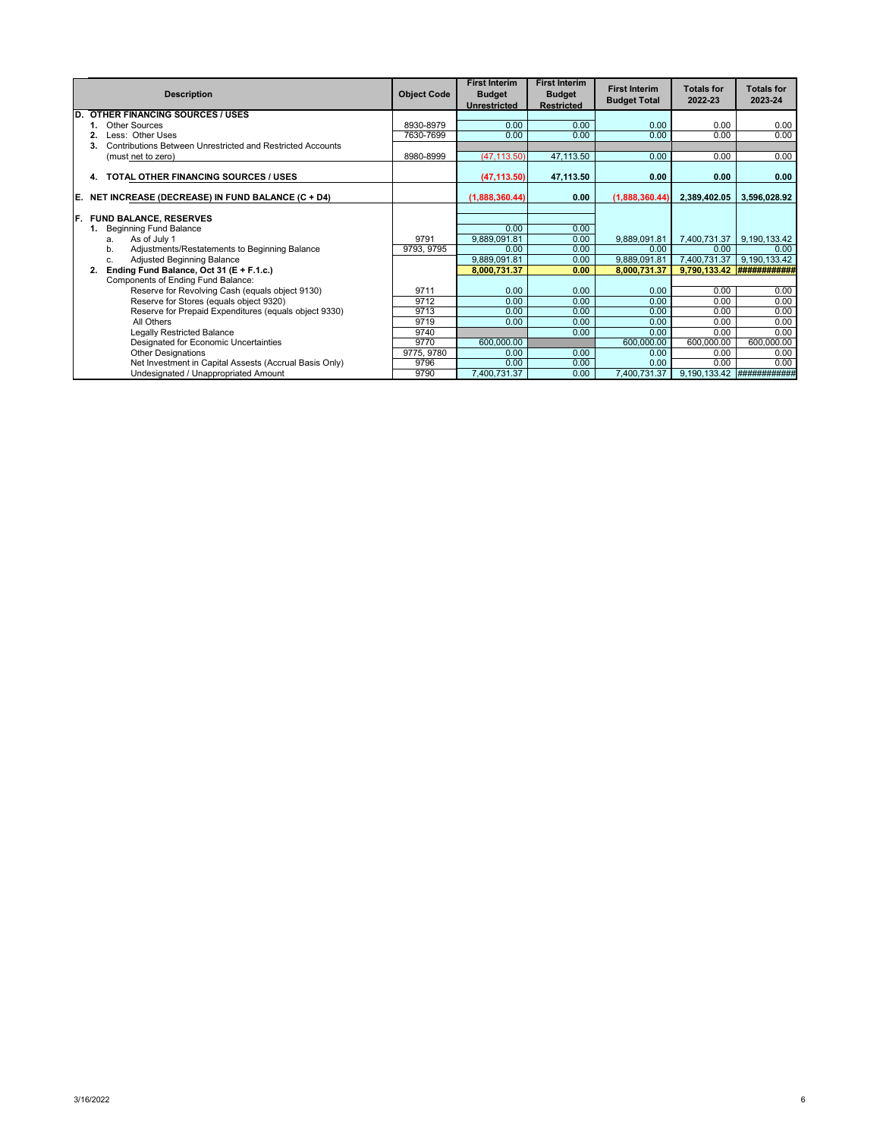|     | <b>Description</b>                                               | <b>Object Code</b> | <b>First Interim</b><br><b>Budget</b><br><b>Unrestricted</b> | <b>First Interim</b><br><b>Budget</b><br><b>Restricted</b> | <b>First Interim</b><br><b>Budget Total</b> | <b>Totals for</b><br>2022-23 | <b>Totals for</b><br>2023-24 |
|-----|------------------------------------------------------------------|--------------------|--------------------------------------------------------------|------------------------------------------------------------|---------------------------------------------|------------------------------|------------------------------|
| D.  | <b>OTHER FINANCING SOURCES / USES</b>                            |                    |                                                              |                                                            |                                             |                              |                              |
|     | Other Sources                                                    | 8930-8979          | 0.00                                                         | 0.00                                                       | 0.00                                        | 0.00                         | 0.00                         |
|     | Less: Other Uses                                                 | 7630-7699          | 0.00                                                         | 0.00                                                       | 0.00                                        | 0.00                         | 0.00                         |
|     | Contributions Between Unrestricted and Restricted Accounts<br>3. |                    |                                                              |                                                            |                                             |                              |                              |
|     | (must net to zero)                                               | 8980-8999          | (47, 113.50)                                                 | 47,113.50                                                  | 0.00                                        | 0.00                         | 0.00                         |
|     | TOTAL OTHER FINANCING SOURCES / USES<br>4.                       |                    | (47, 113.50)                                                 | 47,113.50                                                  | 0.00                                        | 0.00                         | 0.00                         |
| E.  | NET INCREASE (DECREASE) IN FUND BALANCE (C + D4)                 |                    | (1,888,360.44)                                               | 0.00                                                       | (1,888,360.44)                              | 2,389,402.05                 | 3,596,028.92                 |
| IF. | <b>FUND BALANCE, RESERVES</b>                                    |                    |                                                              |                                                            |                                             |                              |                              |
|     | <b>Beginning Fund Balance</b>                                    |                    | 0.00                                                         | 0.00                                                       |                                             |                              |                              |
|     | As of July 1<br>a.                                               | 9791               | 9,889,091.81                                                 | 0.00                                                       | 9,889,091.81                                | 7,400,731.37                 | 9,190,133.42                 |
|     | Adjustments/Restatements to Beginning Balance<br>b.              | 9793, 9795         | 0.00                                                         | 0.00                                                       | 0.00                                        | 0.00                         | 0.00                         |
|     | Adjusted Beginning Balance<br>C.                                 |                    | 9,889,091.81                                                 | 0.00                                                       | 9,889,091.81                                | 7,400,731.37                 | 9,190,133.42                 |
|     | Ending Fund Balance, Oct 31 (E + F.1.c.)<br>2.                   |                    | 8.000.731.37                                                 | 0.00                                                       | 8.000.731.37                                | 9,790,133.42                 |                              |
|     | Components of Ending Fund Balance:                               |                    |                                                              |                                                            |                                             |                              |                              |
|     | Reserve for Revolving Cash (equals object 9130)                  | 9711               | 0.00                                                         | 0.00                                                       | 0.00                                        | 0.00                         | 0.00                         |
|     | Reserve for Stores (equals object 9320)                          | 9712               | 0.00                                                         | 0.00                                                       | 0.00                                        | 0.00                         | 0.00                         |
|     | Reserve for Prepaid Expenditures (equals object 9330)            | 9713               | 0.00                                                         | 0.00                                                       | 0.00                                        | 0.00                         | 0.00                         |
|     | All Others                                                       | 9719               | 0.00                                                         | 0.00                                                       | 0.00                                        | 0.00                         | 0.00                         |
|     | Legally Restricted Balance                                       | 9740               |                                                              | 0.00                                                       | 0.00                                        | 0.00                         | 0.00                         |
|     | Designated for Economic Uncertainties                            | 9770               | 600,000.00                                                   |                                                            | 600,000.00                                  | 600,000.00                   | 600,000.00                   |
|     | <b>Other Designations</b>                                        | 9775, 9780         | 0.00                                                         | 0.00                                                       | 0.00                                        | 0.00                         | 0.00                         |
|     | Net Investment in Capital Assests (Accrual Basis Only)           | 9796               | 0.00                                                         | 0.00                                                       | 0.00                                        | 0.00                         | 0.00                         |
|     | Undesignated / Unappropriated Amount                             | 9790               | 7,400,731.37                                                 | 0.00                                                       | 7,400,731.37                                | 9,190,133.42                 | <b>############</b>          |